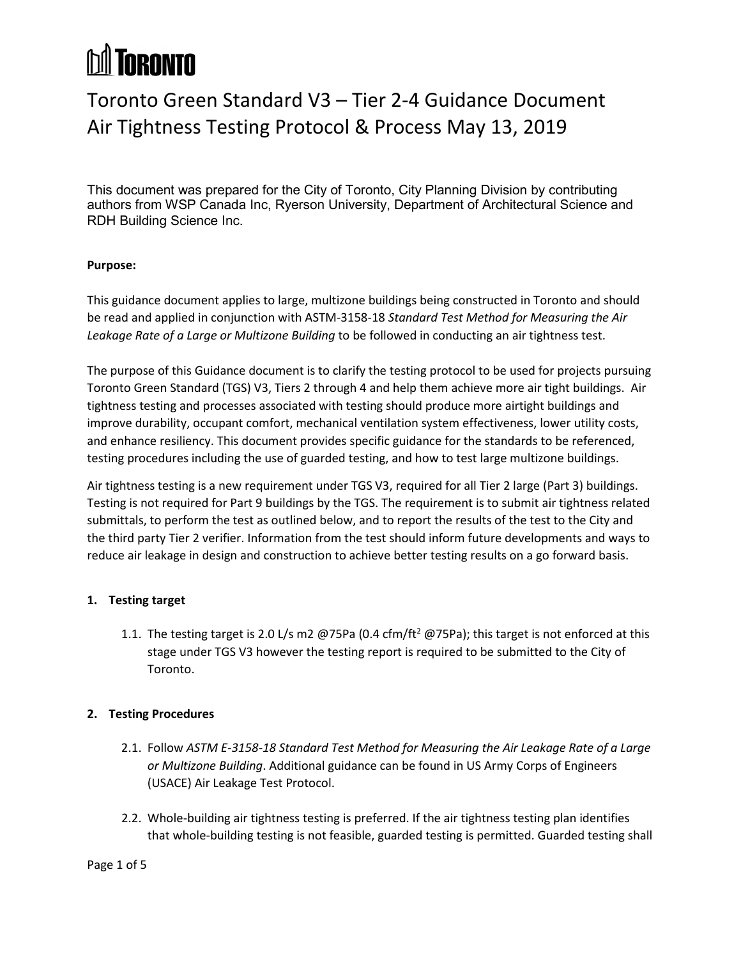## **hil Toronto**

### Toronto Green Standard V3 – Tier 2-4 Guidance Document Air Tightness Testing Protocol & Process May 13, 2019

This document was prepared for the City of Toronto, City Planning Division by contributing authors from WSP Canada Inc, Ryerson University, Department of Architectural Science and RDH Building Science Inc.

#### **Purpose:**

This guidance document applies to large, multizone buildings being constructed in Toronto and should be read and applied in conjunction with ASTM-3158-18 *Standard Test Method for Measuring the Air Leakage Rate of a Large or Multizone Building* to be followed in conducting an air tightness test.

The purpose of this Guidance document is to clarify the testing protocol to be used for projects pursuing Toronto Green Standard (TGS) V3, Tiers 2 through 4 and help them achieve more air tight buildings. Air tightness testing and processes associated with testing should produce more airtight buildings and improve durability, occupant comfort, mechanical ventilation system effectiveness, lower utility costs, and enhance resiliency. This document provides specific guidance for the standards to be referenced, testing procedures including the use of guarded testing, and how to test large multizone buildings.

Air tightness testing is a new requirement under TGS V3, required for all Tier 2 large (Part 3) buildings. Testing is not required for Part 9 buildings by the TGS. The requirement is to submit air tightness related submittals, to perform the test as outlined below, and to report the results of the test to the City and the third party Tier 2 verifier. Information from the test should inform future developments and ways to reduce air leakage in design and construction to achieve better testing results on a go forward basis.

#### **1. Testing target**

1.1. The testing target is 2.0 L/s m2  $@75Pa$  (0.4 cfm/ft<sup>2</sup>  $@75Pa$ ); this target is not enforced at this stage under TGS V3 however the testing report is required to be submitted to the City of Toronto.

#### **2. Testing Procedures**

- 2.1. Follow *ASTM E-3158-18 Standard Test Method for Measuring the Air Leakage Rate of a Large or Multizone Building*. Additional guidance can be found in US Army Corps of Engineers (USACE) Air Leakage Test Protocol.
- 2.2. Whole-building air tightness testing is preferred. If the air tightness testing plan identifies that whole-building testing is not feasible, guarded testing is permitted. Guarded testing shall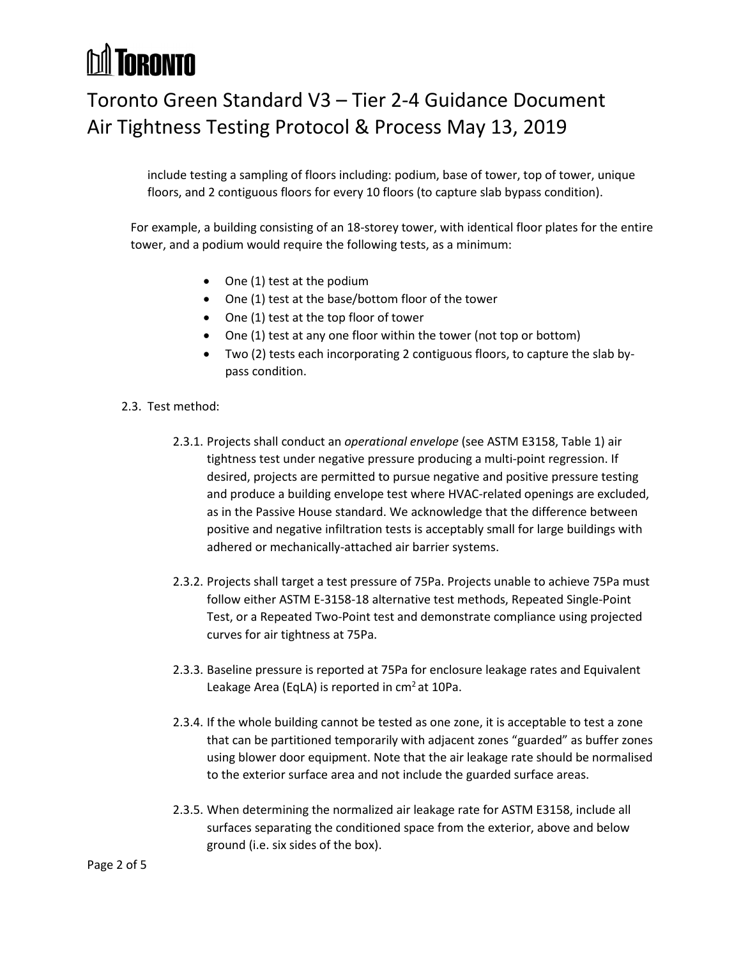## **M** TORONTO

### Toronto Green Standard V3 – Tier 2-4 Guidance Document Air Tightness Testing Protocol & Process May 13, 2019

include testing a sampling of floors including: podium, base of tower, top of tower, unique floors, and 2 contiguous floors for every 10 floors (to capture slab bypass condition).

For example, a building consisting of an 18-storey tower, with identical floor plates for the entire tower, and a podium would require the following tests, as a minimum:

- One (1) test at the podium
- One (1) test at the base/bottom floor of the tower
- One (1) test at the top floor of tower
- One (1) test at any one floor within the tower (not top or bottom)
- Two (2) tests each incorporating 2 contiguous floors, to capture the slab bypass condition.
- 2.3. Test method:
	- 2.3.1. Projects shall conduct an *operational envelope* (see ASTM E3158, Table 1) air tightness test under negative pressure producing a multi-point regression. If desired, projects are permitted to pursue negative and positive pressure testing and produce a building envelope test where HVAC-related openings are excluded, as in the Passive House standard. We acknowledge that the difference between positive and negative infiltration tests is acceptably small for large buildings with adhered or mechanically-attached air barrier systems.
	- 2.3.2. Projects shall target a test pressure of 75Pa. Projects unable to achieve 75Pa must follow either ASTM E-3158-18 alternative test methods, Repeated Single-Point Test, or a Repeated Two-Point test and demonstrate compliance using projected curves for air tightness at 75Pa.
	- 2.3.3. Baseline pressure is reported at 75Pa for enclosure leakage rates and Equivalent Leakage Area (EqLA) is reported in  $cm<sup>2</sup>$  at 10Pa.
	- 2.3.4. If the whole building cannot be tested as one zone, it is acceptable to test a zone that can be partitioned temporarily with adjacent zones "guarded" as buffer zones using blower door equipment. Note that the air leakage rate should be normalised to the exterior surface area and not include the guarded surface areas.
	- 2.3.5. When determining the normalized air leakage rate for ASTM E3158, include all surfaces separating the conditioned space from the exterior, above and below ground (i.e. six sides of the box).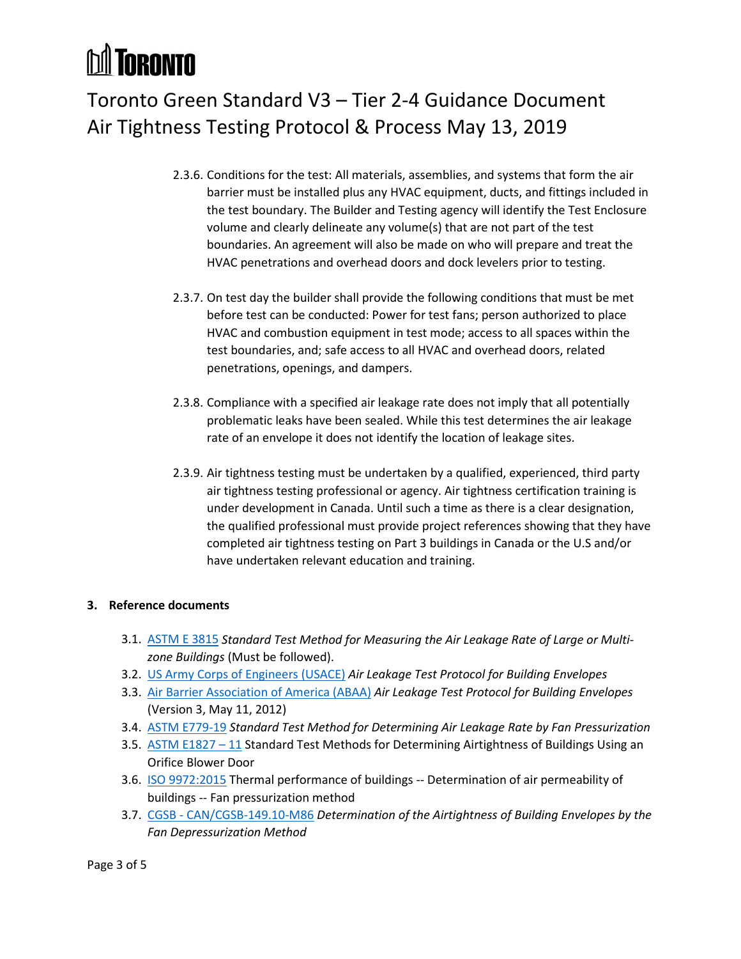# **M** TORONTO

## Toronto Green Standard V3 – Tier 2-4 Guidance Document Air Tightness Testing Protocol & Process May 13, 2019

- 2.3.6. Conditions for the test: All materials, assemblies, and systems that form the air barrier must be installed plus any HVAC equipment, ducts, and fittings included in the test boundary. The Builder and Testing agency will identify the Test Enclosure volume and clearly delineate any volume(s) that are not part of the test boundaries. An agreement will also be made on who will prepare and treat the HVAC penetrations and overhead doors and dock levelers prior to testing.
- 2.3.7. On test day the builder shall provide the following conditions that must be met before test can be conducted: Power for test fans; person authorized to place HVAC and combustion equipment in test mode; access to all spaces within the test boundaries, and; safe access to all HVAC and overhead doors, related penetrations, openings, and dampers.
- 2.3.8. Compliance with a specified air leakage rate does not imply that all potentially problematic leaks have been sealed. While this test determines the air leakage rate of an envelope it does not identify the location of leakage sites.
- 2.3.9. Air tightness testing must be undertaken by a qualified, experienced, third party air tightness testing professional or agency. Air tightness certification training is under development in Canada. Until such a time as there is a clear designation, the qualified professional must provide project references showing that they have completed air tightness testing on Part 3 buildings in Canada or the U.S and/or have undertaken relevant education and training.

### **3. Reference documents**

- 3.1. [ASTM E 3815](https://www.astm.org/SUBSCRIPTION/WORKITEMS/WK35913.htm) *Standard Test Method for Measuring the Air Leakage Rate of Large or Multizone Buildings* (Must be followed).
- 3.2. [US Army Corps of Engineers \(USACE\)](https://www.wbdg.org/FFC/ARMYCOE/usace_airleakagetestprotocol.pdf) *Air Leakage Test Protocol for Building Envelopes*
- 3.3. [Air Barrier Association of](http://www.airbarrier.org/wp-content/uploads/2017/12/D-115-016-rev-0-ABAA-Standard-Method-for-Building-Enclosure-Airtightness-Compliance-Testing-1.pdf) America (ABAA) *Air Leakage Test Protocol for Building Envelopes* (Version 3, May 11, 2012)
- 3.4. [ASTM E779-19](https://www.astm.org/search/fullsite-search.html?query=E779&) *Standard Test Method for Determining Air Leakage Rate by Fan Pressurization*
- 3.5. ASTM E1827 11 Standard Test Methods for Determining Airtightness of Buildings Using an Orifice Blower Door
- 3.6. [ISO 9972:2015](https://www.iso.org/standard/55718.html) Thermal performance of buildings -- Determination of air permeability of buildings -- Fan pressurization method
- 3.7. CGSB [CAN/CGSB-149.10-M86](http://publications.gc.ca/collections/collection_2017/ongc-cgsb/P29-149-010-M86-1986-eng.pdf) *Determination of the Airtightness of Building Envelopes by the Fan Depressurization Method*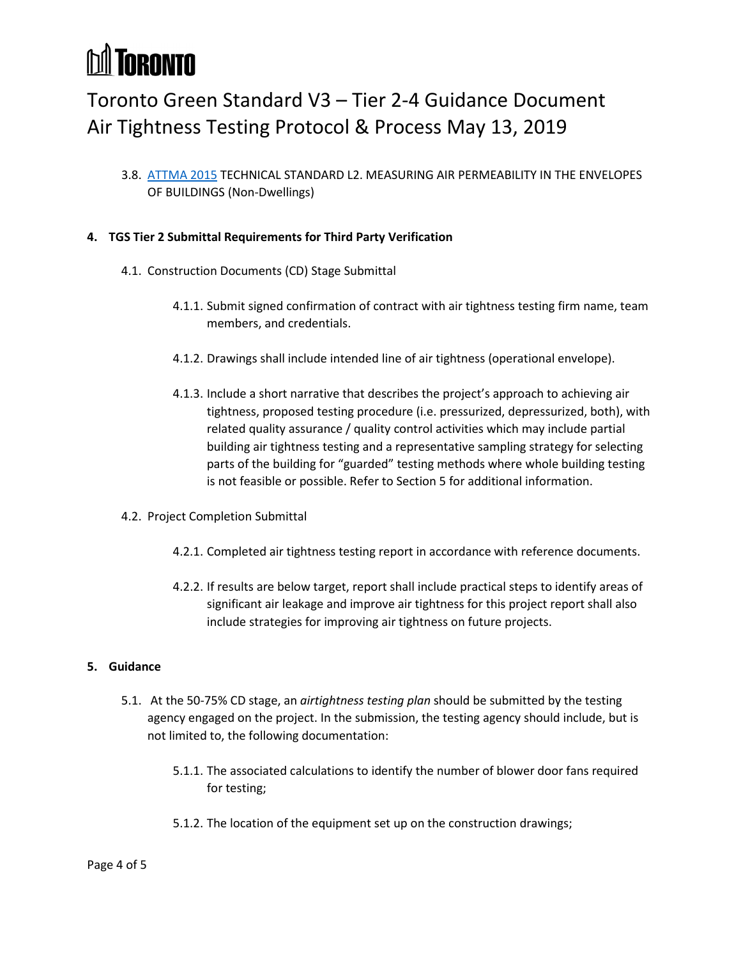## **MI TORONTO**

### Toronto Green Standard V3 – Tier 2-4 Guidance Document Air Tightness Testing Protocol & Process May 13, 2019

3.8. [ATTMA 2015](https://www.bcta.group/shop/attma-technical-standard-l22010-tsl2/) TECHNICAL STANDARD L2. MEASURING AIR PERMEABILITY IN THE ENVELOPES OF BUILDINGS (Non-Dwellings)

#### **4. TGS Tier 2 Submittal Requirements for Third Party Verification**

- 4.1. Construction Documents (CD) Stage Submittal
	- 4.1.1. Submit signed confirmation of contract with air tightness testing firm name, team members, and credentials.
	- 4.1.2. Drawings shall include intended line of air tightness (operational envelope).
	- 4.1.3. Include a short narrative that describes the project's approach to achieving air tightness, proposed testing procedure (i.e. pressurized, depressurized, both), with related quality assurance / quality control activities which may include partial building air tightness testing and a representative sampling strategy for selecting parts of the building for "guarded" testing methods where whole building testing is not feasible or possible. Refer to Section 5 for additional information.
- 4.2. Project Completion Submittal
	- 4.2.1. Completed air tightness testing report in accordance with reference documents.
	- 4.2.2. If results are below target, report shall include practical steps to identify areas of significant air leakage and improve air tightness for this project report shall also include strategies for improving air tightness on future projects.

#### **5. Guidance**

- 5.1. At the 50-75% CD stage, an *airtightness testing plan* should be submitted by the testing agency engaged on the project. In the submission, the testing agency should include, but is not limited to, the following documentation:
	- 5.1.1. The associated calculations to identify the number of blower door fans required for testing;
	- 5.1.2. The location of the equipment set up on the construction drawings;

#### Page 4 of 5